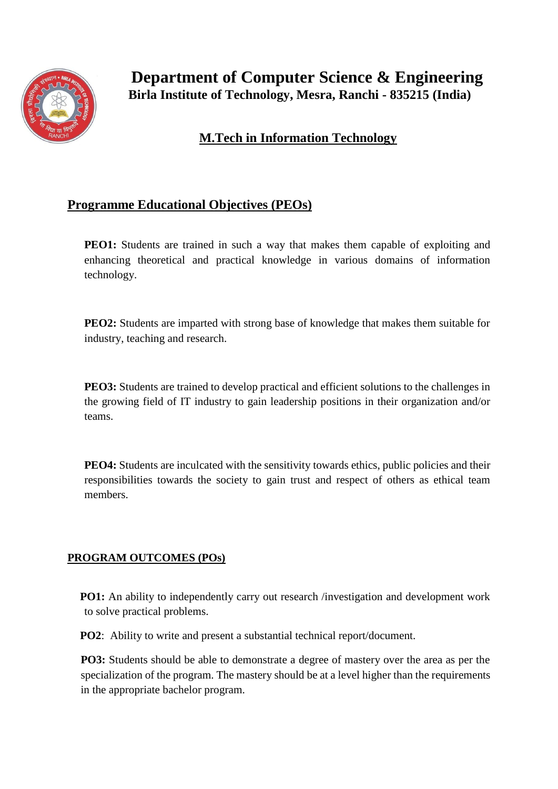

## **M.Tech in Information Technology**

## **Programme Educational Objectives (PEOs)**

**PEO1:** Students are trained in such a way that makes them capable of exploiting and enhancing theoretical and practical knowledge in various domains of information technology.

**PEO2:** Students are imparted with strong base of knowledge that makes them suitable for industry, teaching and research.

**PEO3:** Students are trained to develop practical and efficient solutions to the challenges in the growing field of IT industry to gain leadership positions in their organization and/or teams.

**PEO4:** Students are inculcated with the sensitivity towards ethics, public policies and their responsibilities towards the society to gain trust and respect of others as ethical team members.

## **PROGRAM OUTCOMES (POs)**

**PO1:** An ability to independently carry out research /investigation and development work to solve practical problems.

**PO2**: Ability to write and present a substantial technical report/document.

**PO3:** Students should be able to demonstrate a degree of mastery over the area as per the specialization of the program. The mastery should be at a level higher than the requirements in the appropriate bachelor program.